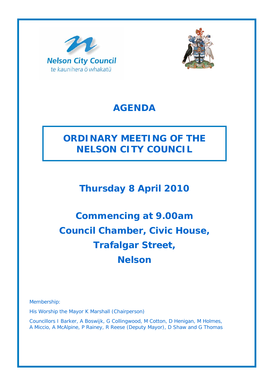



### **AGENDA**

## **ORDINARY MEETING OF THE NELSON CITY COUNCIL**

**Thursday 8 April 2010** 

# **Commencing at 9.00am Council Chamber, Civic House, Trafalgar Street, Nelson**

Membership:

His Worship the Mayor K Marshall (Chairperson)

Councillors I Barker, A Boswijk, G Collingwood, M Cotton, D Henigan, M Holmes, A Miccio, A McAlpine, P Rainey, R Reese (Deputy Mayor), D Shaw and G Thomas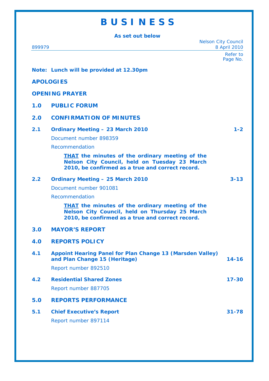## **B U S I N E S S**

**As set out below** 

| 899979                |                                                                                                                                                              | <b>Nelson City Council</b><br>8 April 2010 |
|-----------------------|--------------------------------------------------------------------------------------------------------------------------------------------------------------|--------------------------------------------|
|                       |                                                                                                                                                              | Refer to<br>Page No.                       |
|                       | Note: Lunch will be provided at 12.30pm                                                                                                                      |                                            |
| <b>APOLOGIES</b>      |                                                                                                                                                              |                                            |
| <b>OPENING PRAYER</b> |                                                                                                                                                              |                                            |
| 1.0                   | <b>PUBLIC FORUM</b>                                                                                                                                          |                                            |
| 2.0                   | <b>CONFIRMATION OF MINUTES</b>                                                                                                                               |                                            |
| 2.1                   | <b>Ordinary Meeting - 23 March 2010</b><br>Document number 898359<br>Recommendation                                                                          | $1 - 2$                                    |
|                       | <b>THAT</b> the minutes of the ordinary meeting of the<br>Nelson City Council, held on Tuesday 23 March<br>2010, be confirmed as a true and correct record.  |                                            |
| 2.2                   | <b>Ordinary Meeting - 25 March 2010</b>                                                                                                                      | $3 - 13$                                   |
|                       | Document number 901081                                                                                                                                       |                                            |
|                       | Recommendation                                                                                                                                               |                                            |
|                       | <b>THAT</b> the minutes of the ordinary meeting of the<br>Nelson City Council, held on Thursday 25 March<br>2010, be confirmed as a true and correct record. |                                            |
| 3.0                   | <b>MAYOR'S REPORT</b>                                                                                                                                        |                                            |
| 4.0                   | <b>REPORTS POLICY</b>                                                                                                                                        |                                            |
| 4.1                   | Appoint Hearing Panel for Plan Change 13 (Marsden Valley)<br>and Plan Change 15 (Heritage)                                                                   | $14 - 16$                                  |
|                       | Report number 892510                                                                                                                                         |                                            |
| 4.2                   | <b>Residential Shared Zones</b>                                                                                                                              | $17 - 30$                                  |
|                       | Report number 887705                                                                                                                                         |                                            |
| 5.0                   | <b>REPORTS PERFORMANCE</b>                                                                                                                                   |                                            |
| 5.1                   | <b>Chief Executive's Report</b>                                                                                                                              | $31 - 78$                                  |
|                       | Report number 897114                                                                                                                                         |                                            |